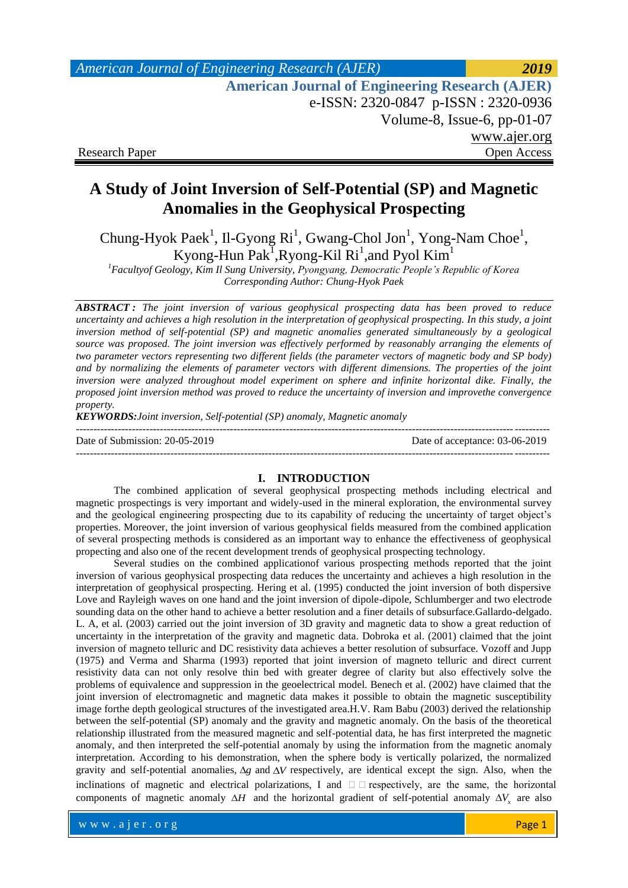| <b>American Journal of Engineering Research (AJER)</b> | 2019                          |
|--------------------------------------------------------|-------------------------------|
| <b>American Journal of Engineering Research (AJER)</b> |                               |
| e-ISSN: 2320-0847 p-ISSN: 2320-0936                    |                               |
|                                                        | Volume-8, Issue-6, $pp-01-07$ |
|                                                        | www.ajer.org                  |
| <b>Research Paper</b>                                  | Open Access                   |

# **A Study of Joint Inversion of Self-Potential (SP) and Magnetic Anomalies in the Geophysical Prospecting**

Chung-Hyok Paek<sup>1</sup>, Il-Gyong Ri<sup>1</sup>, Gwang-Chol Jon<sup>1</sup>, Yong-Nam Choe<sup>1</sup>, Kyong-Hun Pak<sup>1</sup>, Ryong-Kil Ri<sup>1</sup>, and Pyol Kim<sup>1</sup>

*<sup>1</sup>Facultyof Geology, Kim Il Sung University, Pyongyang, Democratic People's Republic of Korea Corresponding Author: Chung-Hyok Paek*

*ABSTRACT : The joint inversion of various geophysical prospecting data has been proved to reduce uncertainty and achieves a high resolution in the interpretation of geophysical prospecting. In this study, a joint inversion method of self-potential (SP) and magnetic anomalies generated simultaneously by a geological source was proposed. The joint inversion was effectively performed by reasonably arranging the elements of two parameter vectors representing two different fields (the parameter vectors of magnetic body and SP body) and by normalizing the elements of parameter vectors with different dimensions. The properties of the joint inversion were analyzed throughout model experiment on sphere and infinite horizontal dike. Finally, the proposed joint inversion method was proved to reduce the uncertainty of inversion and improvethe convergence property.*

*KEYWORDS:Joint inversion, Self-potential (SP) anomaly, Magnetic anomaly*

| Date of Submission: 20-05-2019 | Date of acceptance: 03-06-2019 |
|--------------------------------|--------------------------------|
|                                |                                |

## **I. INTRODUCTION**

The combined application of several geophysical prospecting methods including electrical and magnetic prospectings is very important and widely-used in the mineral exploration, the environmental survey and the geological engineering prospecting due to its capability of reducing the uncertainty of target object's properties. Moreover, the joint inversion of various geophysical fields measured from the combined application of several prospecting methods is considered as an important way to enhance the effectiveness of geophysical propecting and also one of the recent development trends of geophysical prospecting technology.

Several studies on the combined applicationof various prospecting methods reported that the joint inversion of various geophysical prospecting data reduces the uncertainty and achieves a high resolution in the interpretation of geophysical prospecting. Hering et al. (1995) conducted the joint inversion of both dispersive Love and Rayleigh waves on one hand and the joint inversion of dipole-dipole, Schlumberger and two electrode sounding data on the other hand to achieve a better resolution and a finer details of subsurface.Gallardo-delgado. L. A, et al. (2003) carried out the joint inversion of 3D gravity and magnetic data to show a great reduction of uncertainty in the interpretation of the gravity and magnetic data. Dobroka et al. (2001) claimed that the joint inversion of magneto telluric and DC resistivity data achieves a better resolution of subsurface. Vozoff and Jupp (1975) and Verma and Sharma (1993) reported that joint inversion of magneto telluric and direct current resistivity data can not only resolve thin bed with greater degree of clarity but also effectively solve the problems of equivalence and suppression in the geoelectrical model. Benech et al. (2002) have claimed that the joint inversion of electromagnetic and magnetic data makes it possible to obtain the magnetic susceptibility image forthe depth geological structures of the investigated area.H.V. Ram Babu (2003) derived the relationship between the self-potential (SP) anomaly and the gravity and magnetic anomaly. On the basis of the theoretical relationship illustrated from the measured magnetic and self-potential data, he has first interpreted the magnetic anomaly, and then interpreted the self-potential anomaly by using the information from the magnetic anomaly interpretation. According to his demonstration, when the sphere body is vertically polarized, the normalized gravity and self-potential anomalies,  $\Delta g$  and  $\Delta V$  respectively, are identical except the sign. Also, when the inclinations of magnetic and electrical polarizations, I and  $\Box$  respectively, are the same, the horizontal components of magnetic anomaly  $\Delta H$  and the horizontal gradient of self-potential anomaly  $\Delta V_x$  are also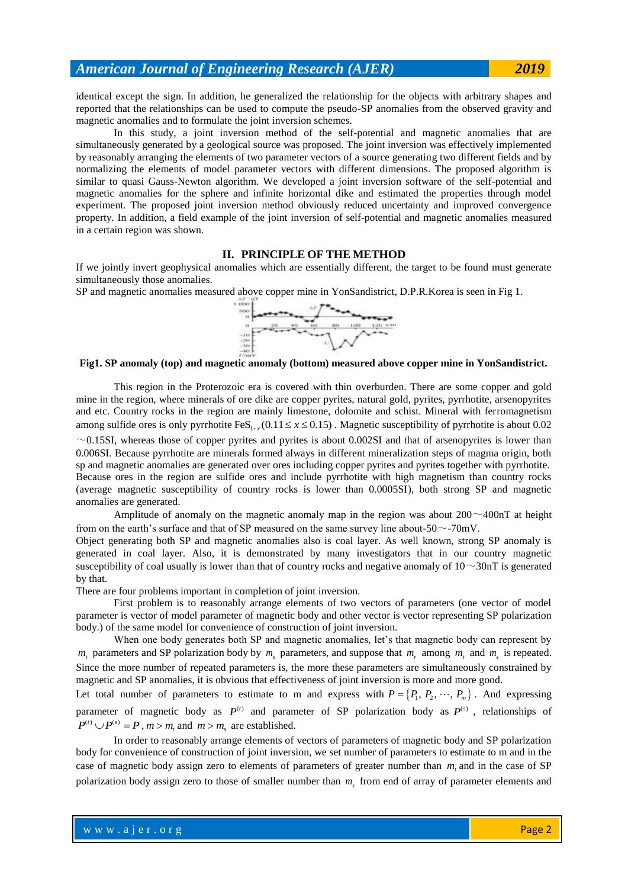identical except the sign. In addition, he generalized the relationship for the objects with arbitrary shapes and reported that the relationships can be used to compute the pseudo-SP anomalies from the observed gravity and magnetic anomalies and to formulate the joint inversion schemes.

In this study, a joint inversion method of the self-potential and magnetic anomalies that are simultaneously generated by a geological source was proposed. The joint inversion was effectively implemented by reasonably arranging the elements of two parameter vectors of a source generating two different fields and by normalizing the elements of model parameter vectors with different dimensions. The proposed algorithm is similar to quasi Gauss-Newton algorithm. We developed a joint inversion software of the self-potential and magnetic anomalies for the sphere and infinite horizontal dike and estimated the properties through model experiment. The proposed joint inversion method obviously reduced uncertainty and improved convergence property. In addition, a field example of the joint inversion of self-potential and magnetic anomalies measured in a certain region was shown.

## **II. PRINCIPLE OF THE METHOD**

If we jointly invert geophysical anomalies which are essentially different, the target to be found must generate simultaneously those anomalies.

SP and magnetic anomalies measured above copper mine in YonSandistrict, D.P.R.Korea is seen in Fig 1.



### **Fig1. SP anomaly (top) and magnetic anomaly (bottom) measured above copper mine in YonSandistrict.**

This region in the Proterozoic era is covered with thin overburden. There are some copper and gold mine in the region, where minerals of ore dike are copper pyrites, natural gold, pyrites, pyrrhotite, arsenopyrites and etc. Country rocks in the region are mainly limestone, dolomite and schist. Mineral with ferromagnetism among sulfide ores is only pyrrhotite  $\text{FeS}_{1+x}$  (0.11  $\leq x \leq 0.15$ ). Magnetic susceptibility of pyrrhotite is about 0.02  $\sim$ 0.15SI, whereas those of copper pyrites and pyrites is about 0.002SI and that of arsenopyrites is lower than 0.006SI. Because pyrrhotite are minerals formed always in different mineralization steps of magma origin, both sp and magnetic anomalies are generated over ores including copper pyrites and pyrites together with pyrrhotite. Because ores in the region are sulfide ores and include pyrrhotite with high magnetism than country rocks (average magnetic susceptibility of country rocks is lower than 0.0005SI), both strong SP and magnetic anomalies are generated.

Amplitude of anomaly on the magnetic anomaly map in the region was about  $200 \sim 400$ nT at height from on the earth's surface and that of SP measured on the same survey line about-50 $\sim$ -70mV.

Object generating both SP and magnetic anomalies also is coal layer. As well known, strong SP anomaly is generated in coal layer. Also, it is demonstrated by many investigators that in our country magnetic susceptibility of coal usually is lower than that of country rocks and negative anomaly of  $10\sim 30\text{nT}$  is generated by that.

There are four problems important in completion of joint inversion.

First problem is to reasonably arrange elements of two vectors of parameters (one vector of model parameter is vector of model parameter of magnetic body and other vector is vector representing SP polarization body.) of the same model for convenience of construction of joint inversion.

When one body generates both SP and magnetic anomalies, let's that magnetic body can represent by  $m_t$  parameters and SP polarization body by  $m_s$  parameters, and suppose that  $m_r$  among  $m_t$  and  $m_s$  is repeated. Since the more number of repeated parameters is, the more these parameters are simultaneously constrained by magnetic and SP anomalies, it is obvious that effectiveness of joint inversion is more and more good.

Let total number of parameters to estimate to m and express with  $P = \{P_1, P_2, \dots, P_m\}$ . And expressing parameter of magnetic body as  $P^{(t)}$  and parameter of SP polarization body as  $P^{(s)}$ , relationships of  $P^{(t)} \cup P^{(s)} = P$ ,  $m > m_t$  and  $m > m_s$  are established.

In order to reasonably arrange elements of vectors of parameters of magnetic body and SP polarization body for convenience of construction of joint inversion, we set number of parameters to estimate to m and in the case of magnetic body assign zero to elements of parameters of greater number than  $m<sub>t</sub>$  and in the case of SP polarization body assign zero to those of smaller number than  $m<sub>s</sub>$  from end of array of parameter elements and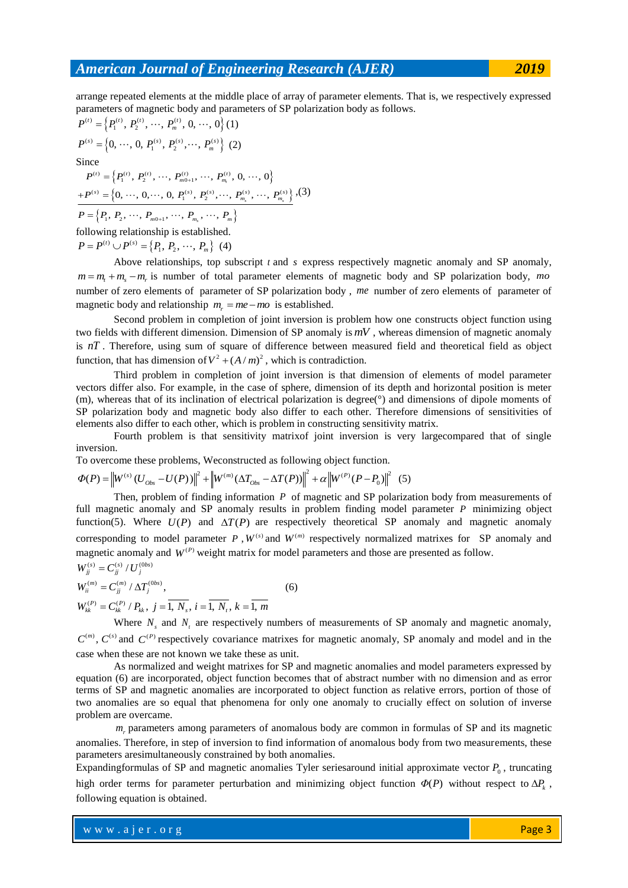arrange repeated elements at the middle place of array of parameter elements. That is, we respectively expressed parameters of magnetic body and parameters of SP polarization body as follows.<br>  $P^{(t)} = \{P_1^{(t)}, P_2^{(t)}, \dots, P_m^{(t)}, 0, \dots, 0\}$  (1)

$$
P^{(t)} = \left\{ P_1^{(t)}, P_2^{(t)}, \cdots, P_m^{(t)}, 0, \cdots, 0 \right\} (1)
$$
  
\n
$$
P^{(s)} = \left\{ 0, \cdots, 0, P_1^{(s)}, P_2^{(s)}, \cdots, P_m^{(s)} \right\} (2)
$$
  
\nSince  
\n
$$
P^{(t)} = \left\{ P_1^{(t)}, P_2^{(t)}, \cdots, P_{m_0+1}^{(t)}, \cdots, P_{m_i}^{(t)}, 0, \cdots, 0 \right\}
$$
  
\n
$$
+ P^{(s)} = \left\{ 0, \cdots, 0, \cdots, 0, P_1^{(s)}, P_2^{(s)}, \cdots, P_{m_i}^{(s)}, \cdots, P_{m_i}^{(s)} \right\}, (3)
$$
  
\n
$$
P = \left\{ P_1, P_2, \cdots, P_{m_0+1}, \cdots, P_{m_n}, \cdots, P_m \right\}
$$
  
\nfollowing relationship is established.

 $P = P^{(t)} \cup P^{(s)} = \{P_1, P_2, \dots, P_m\}$  (4)

Above relationships, top subscript  $t$  and  $s$  express respectively magnetic anomaly and SP anomaly,  $m = m_t + m_s - m_r$  is number of total parameter elements of magnetic body and SP polarization body, mo number of zero elements of parameter of SP polarization body , *me* number of zero elements of parameter of magnetic body and relationship  $m_r = me - mo$  is established.

Second problem in completion of joint inversion is problem how one constructs object function using two fields with different dimension. Dimension of SP anomaly is *mV* , whereas dimension of magnetic anomaly is *nT* . Therefore, using sum of square of difference between measured field and theoretical field as object function, that has dimension of  $V^2 + (A/m)^2$ , which is contradiction.

Third problem in completion of joint inversion is that dimension of elements of model parameter vectors differ also. For example, in the case of sphere, dimension of its depth and horizontal position is meter (m), whereas that of its inclination of electrical polarization is degree(°) and dimensions of dipole moments of SP polarization body and magnetic body also differ to each other. Therefore dimensions of sensitivities of elements also differ to each other, which is problem in constructing sensitivity matrix.

Fourth problem is that sensitivity matrixof joint inversion is very largecompared that of single inversion.

inversion.  
To overcome these problems, Weconstructed as following object function.  

$$
\Phi(P) = \left\| W^{(s)} \left( U_{Obs} - U(P) \right) \right\|^2 + \left\| W^{(m)} (\Delta T_{Obs} - \Delta T(P)) \right\|^2 + \alpha \left\| W^{(P)} (P - P_0) \right\|^2
$$
(5)

Then, problem of finding information P of magnetic and SP polarization body from measurements of full magnetic anomaly and SP anomaly results in problem finding model parameter P minimizing object function(5). Where  $U(P)$  and  $\Delta T(P)$  are respectively theoretical SP anomaly and magnetic anomaly corresponding to model parameter  $P$ ,  $W^{(s)}$  and  $W^{(m)}$  respectively normalized matrixes for SP anomaly and magnetic anomaly and  $W^{(P)}$  weight matrix for model parameters and those are presented as follow. magnetic anomaly<br> $W_{jj}^{(s)} = C_{jj}^{(s)} / U_{j}^{(0bs)}$ 

$$
W_{jj} = C_{jj}^m / U_j
$$
  
\n
$$
W_{ii}^{(m)} = C_{jj}^{(m)} / \Delta T_j^{(0bs)},
$$
  
\n
$$
W_{kk}^{(P)} = C_{kk}^{(P)} / P_{kk}, j = \overline{1, N_s}, i = \overline{1, N_t}, k = \overline{1, m}
$$
\n(6)

Where  $N_s$  and  $N_t$  are respectively numbers of measurements of SP anomaly and magnetic anomaly,  $C^{(m)}$ ,  $C^{(s)}$  and  $C^{(P)}$  respectively covariance matrixes for magnetic anomaly, SP anomaly and model and in the case when these are not known we take these as unit.

As normalized and weight matrixes for SP and magnetic anomalies and model parameters expressed by equation (6) are incorporated, object function becomes that of abstract number with no dimension and as error terms of SP and magnetic anomalies are incorporated to object function as relative errors, portion of those of two anomalies are so equal that phenomena for only one anomaly to crucially effect on solution of inverse problem are overcame.

*mr* parameters among parameters of anomalous body are common in formulas of SP and its magnetic anomalies. Therefore, in step of inversion to find information of anomalous body from two measurements, these parameters aresimultaneously constrained by both anomalies.

Expandingformulas of SP and magnetic anomalies Tyler series around initial approximate vector  $P_0$ , truncating high order terms for parameter perturbation and minimizing object function  $\Phi(P)$  without respect to  $\Delta P_k$ , following equation is obtained.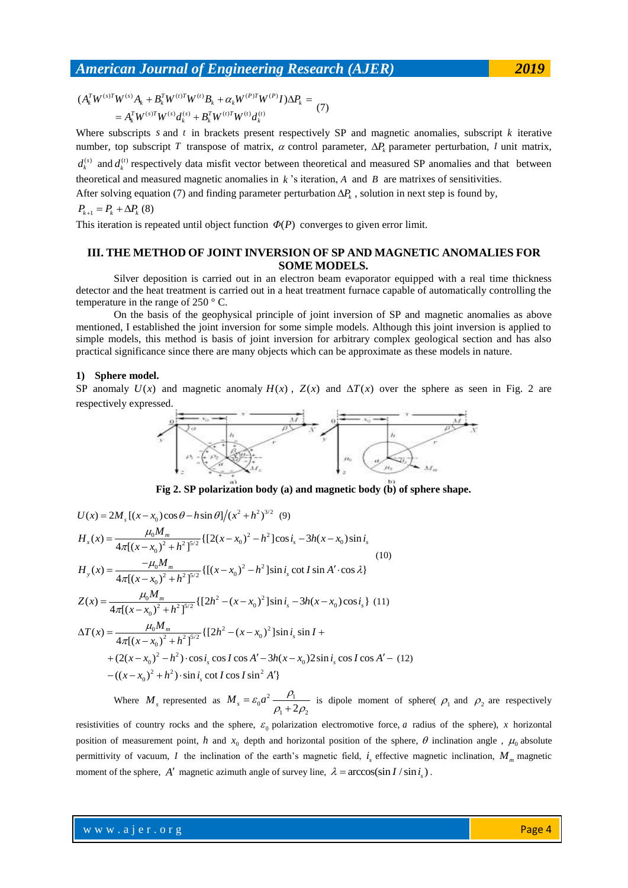Where subscripts s and t in brackets present respectively SP and magnetic anomalies, subscript  $k$  iterative number, top subscript T transpose of matrix,  $\alpha$  control parameter,  $\Delta P_k$  parameter perturbation, I unit matrix,  $d_k^{(s)}$  and  $d_k^{(t)}$  respectively data misfit vector between theoretical and measured SP anomalies and that between theoretical and measured magnetic anomalies in  $k$ 's iteration,  $A$  and  $B$  are matrixes of sensitivities. After solving equation (7) and finding parameter perturbation  $\Delta P_k$ , solution in next step is found by,

$$
P_{k+1}=P_k+\Delta P_k(8)
$$

This iteration is repeated until object function  $\Phi(P)$  converges to given error limit.

### **III. THE METHOD OF JOINT INVERSION OF SP AND MAGNETIC ANOMALIES FOR SOME MODELS.**

Silver deposition is carried out in an electron beam evaporator equipped with a real time thickness detector and the heat treatment is carried out in a heat treatment furnace capable of automatically controlling the temperature in the range of 250 ° C.

On the basis of the geophysical principle of joint inversion of SP and magnetic anomalies as above mentioned, I established the joint inversion for some simple models. Although this joint inversion is applied to simple models, this method is basis of joint inversion for arbitrary complex geological section and has also practical significance since there are many objects which can be approximate as these models in nature.

### **1) Sphere model.**

SP anomaly  $U(x)$  and magnetic anomaly  $H(x)$ ,  $Z(x)$  and  $\Delta T(x)$  over the sphere as seen in Fig. 2 are respectively expressed.



**Fig 2. SP polarization body (a) and magnetic body (b) of sphere shape.**

$$
U(x) = 2M_s [(x - x_0)\cos\theta - h\sin\theta]/(x^2 + h^2)^{3/2} (9)
$$
  
\n
$$
H_x(x) = \frac{\mu_0 M_m}{4\pi [(x - x_0)^2 + h^2]^{5/2}} \{[2(x - x_0)^2 - h^2]\cos i_s - 3h(x - x_0)\sin i_s
$$
  
\n
$$
H_y(x) = \frac{-\mu_0 M_m}{4\pi [(x - x_0)^2 + h^2]^{5/2}} \{[(x - x_0)^2 - h^2]\sin i_s \cot I \sin A' \cdot \cos \lambda\}
$$
  
\n
$$
Z(x) = \frac{\mu_0 M_m}{4\pi [(x - x_0)^2 + h^2]^{5/2}} \{[2h^2 - (x - x_0)^2]\sin i_s - 3h(x - x_0)\cos i_s\} (11)
$$
  
\n
$$
\Delta T(x) = \frac{\mu_0 M_m}{4\pi [(x - x_0)^2 + h^2]^{5/2}} \{[2h^2 - (x - x_0)^2]\sin i_s \sin I +
$$
  
\n
$$
+ (2(x - x_0)^2 - h^2) \cdot \cos i_s \cos I \cos A' - 3h(x - x_0)2\sin i_s \cos I \cos A' - (12)
$$
  
\n
$$
- ((x - x_0)^2 + h^2) \cdot \sin i_s \cot I \cos I \sin^2 A'\}
$$

Where  $M_s$  represented as  $M_s = \varepsilon_0 a^2 \frac{P_1}{\rho_1 + 2\rho_2}$  $M_s = \varepsilon_0 a^2 \frac{\rho_1}{\rho_1 + 2\rho_2}$  $\frac{F_1}{+2\rho_2}$  is dipole moment of sphere(  $\rho_1$  and  $\rho_2$  are respectively

resistivities of country rocks and the sphere,  $\varepsilon_0$  polarization electromotive force, *a* radius of the sphere), *x* horizontal position of measurement point, h and  $x_0$  depth and horizontal position of the sphere,  $\theta$  inclination angle,  $\mu_0$  absolute permittivity of vacuum, *I* the inclination of the earth's magnetic field,  $i_s$  effective magnetic inclination,  $M_m$  magnetic moment of the sphere, A' magnetic azimuth angle of survey line,  $\lambda = \arccos(\sin I / \sin i_s)$ .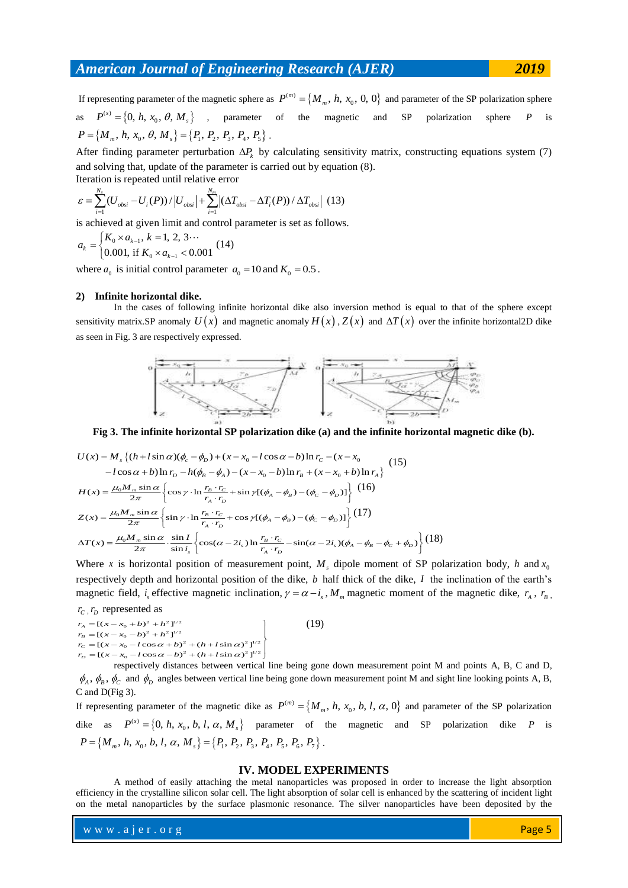If representing parameter of the magnetic sphere as  $P^{(m)} = \{M_m, h, x_0, 0, 0\}$  and parameter of the SP polarization sphere as  $P^{(s)} = \{0, h, x_0, \theta, M_s\}$ , parameter of the magnetic and SP polarization sphere *P* is *P* = {*O*, *n*, *x*<sub>0</sub>, *b*, *M*<sub>*s*</sub>}, c parameter<br>  $P = \{M_m, h, x_0, \theta, M_s\} = \{P_1, P_2, P_3, P_4, P_5\}$ .

After finding parameter perturbation  $\Delta P_k$  by calculating sensitivity matrix, constructing equations system (7)

and solving that, update of the parameter is carried out by equation (8).  
Iteration is repeated until relative error  

$$
\varepsilon = \sum_{i=1}^{N_s} (U_{obsi} - U_i(P)) / |U_{obsi}| + \sum_{i=1}^{N_m} |(\Delta T_{obsi} - \Delta T_i(P)) / \Delta T_{obsi}|
$$
(13)

is achieved at given limit and control parameter is set as follows.

 $_0 \times a_{k-1}$  $_0 \times a_{k-1}$  $, k = 1, 2, 3$  $\mathbf{a}_k = \begin{cases} 0.001, & \text{if } K_0 \times a_{k-1} < 0.001, \\ 0.001, & \text{if } K_0 \times a_{k-1} < 0.001 \end{cases}$  $a_k =\begin{cases} K_0 \times a_{k-1}, k = 1 \\ 0.001, \text{ if } K_0 \times a \end{cases}$ 1  $=\begin{cases} K_0 \times a_{k-1}, k=1, 2, 3... \\ 0.001, \text{ if } K_0 \times a_{k-1} < 0.001 \end{cases} (14)$ 

where  $a_0$  is initial control parameter  $a_0 = 10$  and  $K_0 = 0.5$ .

### **2) Infinite horizontal dike.**

In the cases of following infinite horizontal dike also inversion method is equal to that of the sphere except sensitivity matrix.SP anomaly  $U(x)$  and magnetic anomaly  $H(x)$ ,  $Z(x)$  and  $\Delta T(x)$  over the infinite horizontal2D dike as seen in Fig. 3 are respectively expressed.



Fig 3. The infinite horizontal SP polarization like (a) and the infinite horizontal magnetic dike (b).  
\n
$$
U(x) = M_s \{(h + l \sin \alpha)(\phi_c - \phi_D) + (x - x_0 - l \cos \alpha - b) \ln r_c - (x - x_0 - l \cos \alpha + b) \ln r_b - h(\phi_B - \phi_A) - (x - x_0 - b) \ln r_B + (x - x_0 + b) \ln r_A \}
$$
\n
$$
H(x) = \frac{\mu_0 M_m \sin \alpha}{2\pi} \left\{ \cos \gamma \cdot \ln \frac{r_B \cdot r_c}{r_A \cdot r_D} + \sin \gamma [(\phi_A - \phi_B) - (\phi_c - \phi_D)] \right\} (16)
$$
\n
$$
Z(x) = \frac{\mu_0 M_m \sin \alpha}{2\pi} \left\{ \sin \gamma \cdot \ln \frac{r_B \cdot r_c}{r_A \cdot r_D} + \cos \gamma [(\phi_A - \phi_B) - (\phi_c - \phi_D)] \right\} (17)
$$
\n
$$
\Delta T(x) = \frac{\mu_0 M_m \sin \alpha}{2\pi} \cdot \frac{\sin l}{\sin l_s} \left\{ \cos(\alpha - 2i_s) \ln \frac{r_B \cdot r_c}{r_A \cdot r_D} - \sin(\alpha - 2i_s) (\phi_A - \phi_B - \phi_c + \phi_D) \right\} (18)
$$
\nWhen *n* is horizontal positive, if *m* represents the *M*, divide the square at *S* SD and kinetic the *l* are the same.

Where x is horizontal position of measurement point,  $M<sub>s</sub>$  dipole moment of SP polarization body, h and  $x<sub>0</sub>$ respectively depth and horizontal position of the dike, *b* half thick of the dike, *I* the inclination of the earth's magnetic field, *i<sub>s</sub>* effective magnetic inclination,  $\gamma = \alpha - i_s$ ,  $M_m$  magnetic moment of the magnetic dike,  $r_A$ ,  $r_B$ ,

*r*<sub>*c*</sub>, *r*<sub>*D*</sub> represented as  $r_A = [(x - x_0 + b)^2 + h]$ *c*,  $r_D$  represented as<br>  $\lambda = [(x - x_0 + b)^2 + h^2]^{1/2}$  $r_A = [(x - x_0 + b)^2 + h^2]^{1/2}$ <br>  $r_B = [(x - x_0 - b)^2 + h^2]^{1/2}$  $\begin{bmatrix} \n\lambda = [(x - x_0 + b) + h] \\
\lambda = [(x - x_0 - b)^2 + h^2]^{1/2} \\
\lambda = [(x - x_0 - l \cos \alpha + b)^2 + (h + l \sin \alpha)^2]^{1/2}\n\end{bmatrix}$  $P_B = [(x - x_0 - b) + n]$ <br>  $P_C = [(x - x_0 - l \cos \alpha + b)^2 + (h + l \sin \alpha)^2]^{1/2}$ <br>  $P_D = [(x - x_0 - l \cos \alpha - b)^2 + (h + l \sin \alpha)^2]^{1/2}$  $r_A = [(x - x_0 + b) + h]$ <br>  $r_B = [(x - x_0 - b)^2 + h^2]^{1/2}$ <br>  $r_C = [(x - x_0 - l \cos \alpha + b)^2 + (h + l)]$  $\overline{1}$ = $[(x-x_0+b)^2 + h^2]^{1/2}$ <br>= $[(x-x_0-b)^2 + h^2]^{1/2}$  $\left\{ \right.$ (19)

respectively distances between vertical line being gone down measurement point M and points A, B, C and D,  $\phi_A$ ,  $\phi_B$ ,  $\phi_C$  and  $\phi_D$  angles between vertical line being gone down measurement point M and sight line looking points A, B, C and D(Fig 3).

If representing parameter of the magnetic dike as  $P^{(m)} = \{M_m, h, x_0, b, l, \alpha, 0\}$  and parameter of the SP polarization dike as  $P^{(s)} = \{0, h, x_0, b, l, \alpha, M_s\}$  parameter of the magnetic and SP polarization dike P is  $P = \{M_m, h, x_0, b, l, \alpha, M_s\} = \{P_1, P_2, P_3, P_4, P_5, P_6, P_7\}$ .

### **IV. MODEL EXPERIMENTS**

A method of easily attaching the metal nanoparticles was proposed in order to increase the light absorption efficiency in the crystalline silicon solar cell. The light absorption of solar cell is enhanced by the scattering of incident light on the metal nanoparticles by the surface plasmonic resonance. The silver nanoparticles have been deposited by the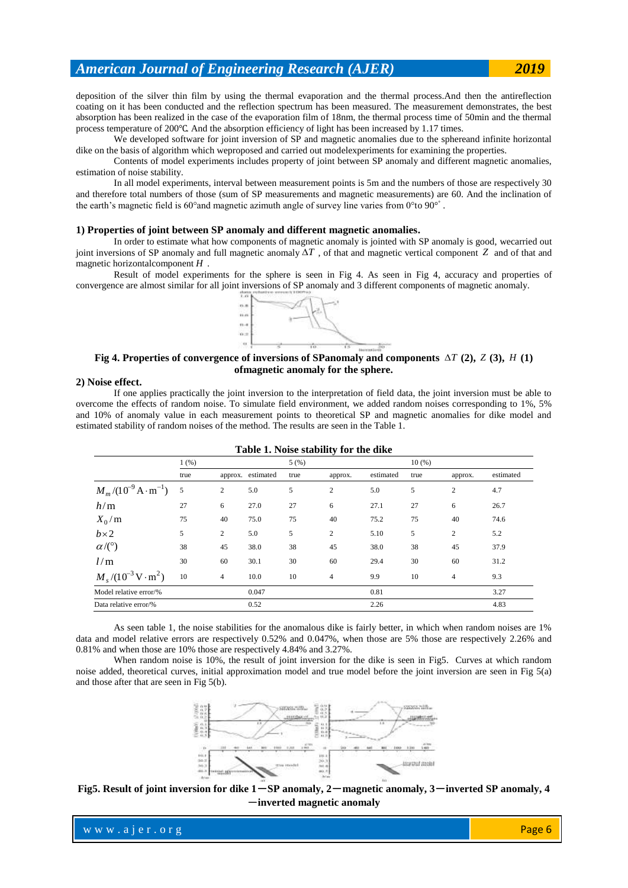deposition of the silver thin film by using the thermal evaporation and the thermal process.And then the antireflection coating on it has been conducted and the reflection spectrum has been measured. The measurement demonstrates, the best absorption has been realized in the case of the evaporation film of 18nm, the thermal process time of 50min and the thermal process temperature of 200℃. And the absorption efficiency of light has been increased by 1.17 times.

We developed software for joint inversion of SP and magnetic anomalies due to the sphereand infinite horizontal dike on the basis of algorithm which weproposed and carried out modelexperiments for examining the properties.

Contents of model experiments includes property of joint between SP anomaly and different magnetic anomalies, estimation of noise stability.

In all model experiments, interval between measurement points is 5m and the numbers of those are respectively 30 and therefore total numbers of those (sum of SP measurements and magnetic measurements) are 60. And the inclination of the earth's magnetic field is 60° and magnetic azimuth angle of survey line varies from 0° to 90° $\degree$ .

### **1) Properties of joint between SP anomaly and different magnetic anomalies.**

In order to estimate what how components of magnetic anomaly is jointed with SP anomaly is good, wecarried out joint inversions of SP anomaly and full magnetic anomaly  $\Delta T$ , of that and magnetic vertical component Z and of that and magnetic horizontalcomponent *H* .

Result of model experiments for the sphere is seen in Fig 4. As seen in Fig 4, accuracy and properties of convergence are almost similar for all joint inversions of SP anomaly and 3 different components of magnetic anomaly.



### **Fig 4. Properties of convergence of inversions of SPanomaly and components**  $\Delta T$  (2),  $Z$  (3),  $H$  (1) **ofmagnetic anomaly for the sphere.**

#### **2) Noise effect.**

If one applies practically the joint inversion to the interpretation of field data, the joint inversion must be able to overcome the effects of random noise. To simulate field environment, we added random noises corresponding to 1%, 5% and 10% of anomaly value in each measurement points to theoretical SP and magnetic anomalies for dike model and estimated stability of random noises of the method. The results are seen in the Table 1.

|                                              | 1(%) |                |                   | 5.5552222<br>5(%) | $\sim$ $\sim$ $\sim$ |           | 10(%) |                |           |
|----------------------------------------------|------|----------------|-------------------|-------------------|----------------------|-----------|-------|----------------|-----------|
|                                              | true |                | approx. estimated | true              | approx.              | estimated | true  | approx.        | estimated |
| $M_m/(10^{-9} \text{A} \cdot \text{m}^{-1})$ | 5    | 2              | 5.0               | 5                 | $\mathfrak{2}$       | 5.0       | 5     | $\overline{c}$ | 4.7       |
| h/m                                          | 27   | 6              | 27.0              | 27                | 6                    | 27.1      | 27    | 6              | 26.7      |
| $X_0/m$                                      | 75   | 40             | 75.0              | 75                | 40                   | 75.2      | 75    | 40             | 74.6      |
| $b \times 2$                                 | 5    | 2              | 5.0               | 5                 | $\mathfrak{2}$       | 5.10      | 5     | $\overline{c}$ | 5.2       |
| $\alpha$ /(°)                                | 38   | 45             | 38.0              | 38                | 45                   | 38.0      | 38    | 45             | 37.9      |
| l/m                                          | 30   | 60             | 30.1              | 30                | 60                   | 29.4      | 30    | 60             | 31.2      |
| $M_s/(10^{-3}\,\text{V}\cdot\text{m}^2)$     | 10   | $\overline{4}$ | 10.0              | 10                | $\overline{4}$       | 9.9       | 10    | 4              | 9.3       |
| Model relative error/%                       |      |                | 0.047             |                   |                      | 0.81      |       |                | 3.27      |
| Data relative error/%                        |      |                | 0.52              |                   |                      | 2.26      |       |                | 4.83      |

| Table 1. Noise stability for the dike |  |
|---------------------------------------|--|
|---------------------------------------|--|

As seen table 1, the noise stabilities for the anomalous dike is fairly better, in which when random noises are 1% data and model relative errors are respectively 0.52% and 0.047%, when those are 5% those are respectively 2.26% and 0.81% and when those are 10% those are respectively 4.84% and 3.27%.

When random noise is 10%, the result of joint inversion for the dike is seen in Fig5. Curves at which random noise added, theoretical curves, initial approximation model and true model before the joint inversion are seen in Fig 5(a) and those after that are seen in Fig 5(b).



**Fig5. Result of joint inversion for dike 1**-**SP anomaly, 2**-**magnetic anomaly, 3**-**inverted SP anomaly, 4** -**inverted magnetic anomaly**